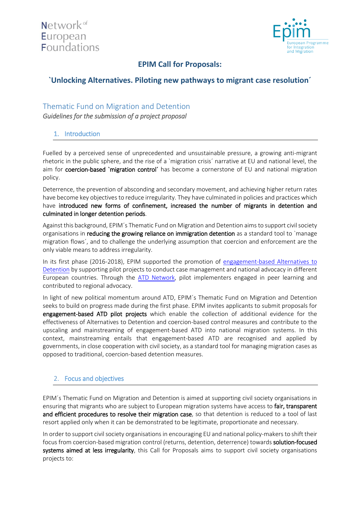

# **EPIM Call for Proposals:**

# **`Unlocking Alternatives. Piloting new pathways to migrant case resolution´**

# Thematic Fund on Migration and Detention

*Guidelines for the submission of a project proposal* 

## 1. Introduction

Fuelled by a perceived sense of unprecedented and unsustainable pressure, a growing anti-migrant rhetoric in the public sphere, and the rise of a `migration crisis´ narrative at EU and national level, the aim for coercion-based `migration control´ has become a cornerstone of EU and national migration policy.

Deterrence, the prevention of absconding and secondary movement, and achieving higher return rates have become key objectives to reduce irregularity. They have culminated in policies and practices which have introduced new forms of confinement, increased the number of migrants in detention and culminated in longer detention periods.

Against this background, EPIM´s Thematic Fund on Migration and Detention aims to support civil society organisations in reducing the growing reliance on immigration detention as a standard tool to `manage migration flows´, and to challenge the underlying assumption that coercion and enforcement are the only viable means to address irregularity.

In its first phase (2016-2018), EPIM supported the promotion of [engagement-based Alternatives](https://idcoalition.org/publication/there-are-alternatives-revised-edition/) to [Detention](https://idcoalition.org/publication/there-are-alternatives-revised-edition/) by supporting pilot projects to conduct case management and national advocacy in different European countries. Through the [ATD Network,](https://www.atdnetwork.org/) pilot implementers engaged in peer learning and contributed to regional advocacy.

In light of new political momentum around ATD, EPIM´s Thematic Fund on Migration and Detention seeks to build on progress made during the first phase. EPIM invites applicants to submit proposals for engagement-based ATD pilot projects which enable the collection of additional evidence for the effectiveness of Alternatives to Detention and coercion-based control measures and contribute to the upscaling and mainstreaming of engagement-based ATD into national migration systems. In this context, mainstreaming entails that engagement-based ATD are recognised and applied by governments, in close cooperation with civil society, as a standard tool for managing migration cases as opposed to traditional, coercion-based detention measures.

# 2. Focus and objectives

EPIM´s Thematic Fund on Migration and Detention is aimed at supporting civil society organisations in ensuring that migrants who are subject to European migration systems have access to fair, transparent and efficient procedures to resolve their migration case, so that detention is reduced to a tool of last resort applied only when it can be demonstrated to be legitimate, proportionate and necessary.

In order to support civil society organisations in encouraging EU and national policy-makers to shift their focus from coercion-based migration control (returns, detention, deterrence) towards solution-focused systems aimed at less irregularity, this Call for Proposals aims to support civil society organisations projects to: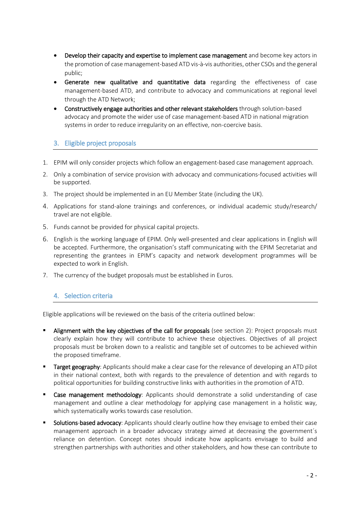- Develop their capacity and expertise to implement case management and become key actors in the promotion of case management-based ATD vis-à-vis authorities, other CSOs and the general public;
- Generate new qualitative and quantitative data regarding the effectiveness of case management-based ATD, and contribute to advocacy and communications at regional level through the ATD Network;
- Constructively engage authorities and other relevant stakeholders through solution-based advocacy and promote the wider use of case management-based ATD in national migration systems in order to reduce irregularity on an effective, non-coercive basis.

## 3. Eligible project proposals

- 1. EPIM will only consider projects which follow an engagement-based case management approach.
- 2. Only a combination of service provision with advocacy and communications-focused activities will be supported.
- 3. The project should be implemented in an EU Member State (including the UK).
- 4. Applications for stand-alone trainings and conferences, or individual academic study/research/ travel are not eligible.
- 5. Funds cannot be provided for physical capital projects.
- 6. English is the working language of EPIM. Only well-presented and clear applications in English will be accepted. Furthermore, the organisation's staff communicating with the EPIM Secretariat and representing the grantees in EPIM's capacity and network development programmes will be expected to work in English.
- 7. The currency of the budget proposals must be established in Euros.

### 4. Selection criteria

Eligible applications will be reviewed on the basis of the criteria outlined below:

- Alignment with the key objectives of the call for proposals (see section 2): Project proposals must clearly explain how they will contribute to achieve these objectives. Objectives of all project proposals must be broken down to a realistic and tangible set of outcomes to be achieved within the proposed timeframe.
- Target geography: Applicants should make a clear case for the relevance of developing an ATD pilot in their national context, both with regards to the prevalence of detention and with regards to political opportunities for building constructive links with authorities in the promotion of ATD.
- Case management methodology: Applicants should demonstrate a solid understanding of case management and outline a clear methodology for applying case management in a holistic way, which systematically works towards case resolution.
- Solutions-based advocacy: Applicants should clearly outline how they envisage to embed their case management approach in a broader advocacy strategy aimed at decreasing the government´s reliance on detention. Concept notes should indicate how applicants envisage to build and strengthen partnerships with authorities and other stakeholders, and how these can contribute to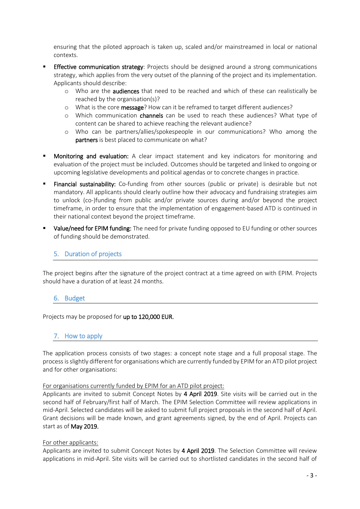ensuring that the piloted approach is taken up, scaled and/or mainstreamed in local or national contexts.

- **Effective communication strategy:** Projects should be designed around a strong communications strategy, which applies from the very outset of the planning of the project and its implementation. Applicants should describe:
	- o Who are the audiences that need to be reached and which of these can realistically be reached by the organisation(s)?
	- o What is the core message? How can it be reframed to target different audiences?
	- o Which communication channels can be used to reach these audiences? What type of content can be shared to achieve reaching the relevant audience?
	- o Who can be partners/allies/spokespeople in our communications? Who among the partners is best placed to communicate on what?
- Monitoring and evaluation: A clear impact statement and key indicators for monitoring and evaluation of the project must be included. Outcomes should be targeted and linked to ongoing or upcoming legislative developments and political agendas or to concrete changes in practice.
- Financial sustainability: Co-funding from other sources (public or private) is desirable but not mandatory. All applicants should clearly outline how their advocacy and fundraising strategies aim to unlock (co-)funding from public and/or private sources during and/or beyond the project timeframe, in order to ensure that the implementation of engagement-based ATD is continued in their national context beyond the project timeframe.
- **Ualue/need for EPIM funding:** The need for private funding opposed to EU funding or other sources of funding should be demonstrated.

## 5. Duration of projects

The project begins after the signature of the project contract at a time agreed on with EPIM. Projects should have a duration of at least 24 months.

#### 6. Budget

Projects may be proposed for up to 120,000 EUR.

### 7. How to apply

The application process consists of two stages: a concept note stage and a full proposal stage. The process is slightly different for organisations which are currently funded by EPIM for an ATD pilot project and for other organisations:

#### For organisations currently funded by EPIM for an ATD pilot project:

Applicants are invited to submit Concept Notes by 4 April 2019. Site visits will be carried out in the second half of February/first half of March. The EPIM Selection Committee will review applications in mid-April. Selected candidates will be asked to submit full project proposals in the second half of April. Grant decisions will be made known, and grant agreements signed, by the end of April. Projects can start as of May 2019.

#### For other applicants:

Applicants are invited to submit Concept Notes by 4 April 2019. The Selection Committee will review applications in mid-April. Site visits will be carried out to shortlisted candidates in the second half of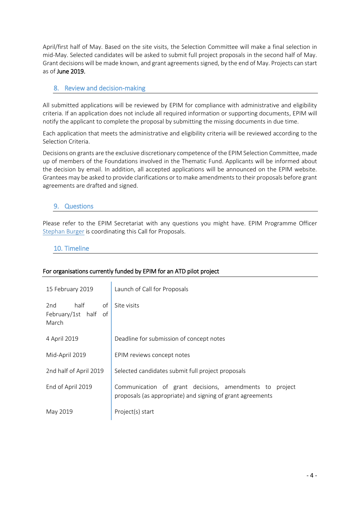April/first half of May. Based on the site visits, the Selection Committee will make a final selection in mid-May. Selected candidates will be asked to submit full project proposals in the second half of May. Grant decisions will be made known, and grant agreements signed, by the end of May. Projects can start as of June 2019.

## 8. Review and decision-making

All submitted applications will be reviewed by EPIM for compliance with administrative and eligibility criteria. If an application does not include all required information or supporting documents, EPIM will notify the applicant to complete the proposal by submitting the missing documents in due time.

Each application that meets the administrative and eligibility criteria will be reviewed according to the Selection Criteria.

Decisions on grants are the exclusive discretionary competence of the EPIM Selection Committee, made up of members of the Foundations involved in the Thematic Fund. Applicants will be informed about the decision by email. In addition, all accepted applications will be announced on the EPIM website. Grantees may be asked to provide clarifications or to make amendments to their proposals before grant agreements are drafted and signed.

### 9. Questions

Please refer to the EPIM Secretariat with any questions you might have. EPIM Programme Officer [Stephan Burger](mailto:stephan.burger@epim.info) is coordinating this Call for Proposals.

### 10. Timeline

### For organisations currently funded by EPIM for an ATD pilot project

| 15 February 2019                                   | Launch of Call for Proposals                                                                                          |
|----------------------------------------------------|-----------------------------------------------------------------------------------------------------------------------|
| half<br>2nd<br>οf<br>February/1st half of<br>March | Site visits                                                                                                           |
| 4 April 2019                                       | Deadline for submission of concept notes                                                                              |
| Mid-April 2019                                     | EPIM reviews concept notes                                                                                            |
| 2nd half of April 2019                             | Selected candidates submit full project proposals                                                                     |
| End of April 2019                                  | Communication of grant decisions, amendments to project<br>proposals (as appropriate) and signing of grant agreements |
| May 2019                                           | Project(s) start                                                                                                      |